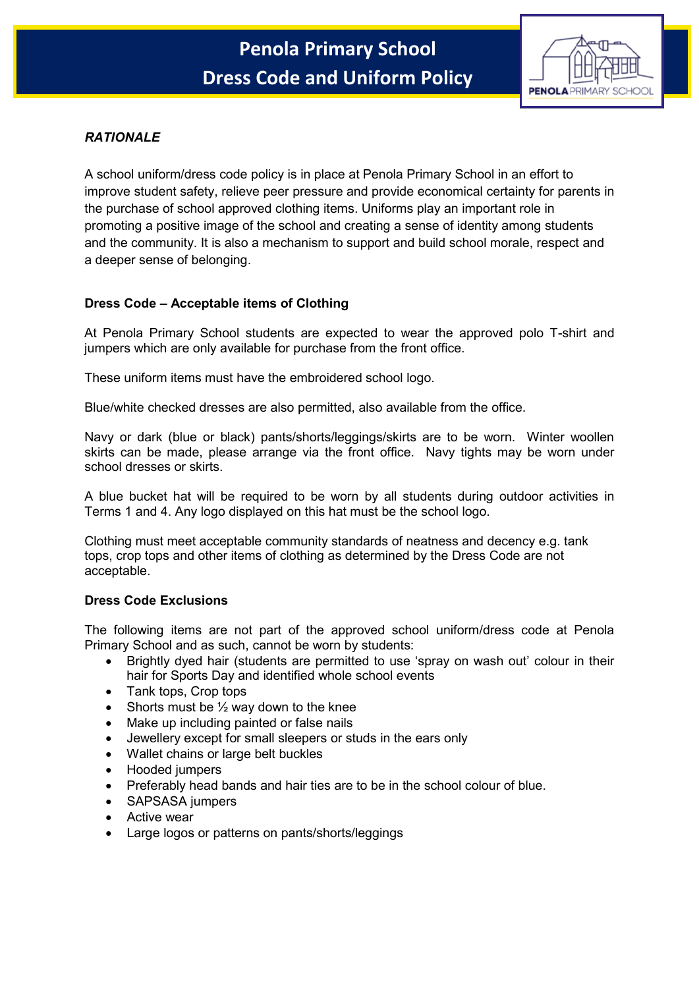

# *RATIONALE*

A school uniform/dress code policy is in place at Penola Primary School in an effort to improve student safety, relieve peer pressure and provide economical certainty for parents in the purchase of school approved clothing items. Uniforms play an important role in promoting a positive image of the school and creating a sense of identity among students and the community. It is also a mechanism to support and build school morale, respect and a deeper sense of belonging.

# **Dress Code – Acceptable items of Clothing**

At Penola Primary School students are expected to wear the approved polo T-shirt and jumpers which are only available for purchase from the front office.

These uniform items must have the embroidered school logo.

Blue/white checked dresses are also permitted, also available from the office.

Navy or dark (blue or black) pants/shorts/leggings/skirts are to be worn. Winter woollen skirts can be made, please arrange via the front office. Navy tights may be worn under school dresses or skirts.

A blue bucket hat will be required to be worn by all students during outdoor activities in Terms 1 and 4. Any logo displayed on this hat must be the school logo.

Clothing must meet acceptable community standards of neatness and decency e.g. tank tops, crop tops and other items of clothing as determined by the Dress Code are not acceptable.

## **Dress Code Exclusions**

The following items are not part of the approved school uniform/dress code at Penola Primary School and as such, cannot be worn by students:

- Brightly dyed hair (students are permitted to use 'spray on wash out' colour in their hair for Sports Day and identified whole school events
- Tank tops, Crop tops
- Shorts must be  $\frac{1}{2}$  way down to the knee
- Make up including painted or false nails
- Jewellery except for small sleepers or studs in the ears only
- Wallet chains or large belt buckles
- Hooded jumpers
- Preferably head bands and hair ties are to be in the school colour of blue.
- SAPSASA jumpers
- Active wear
- Large logos or patterns on pants/shorts/leggings